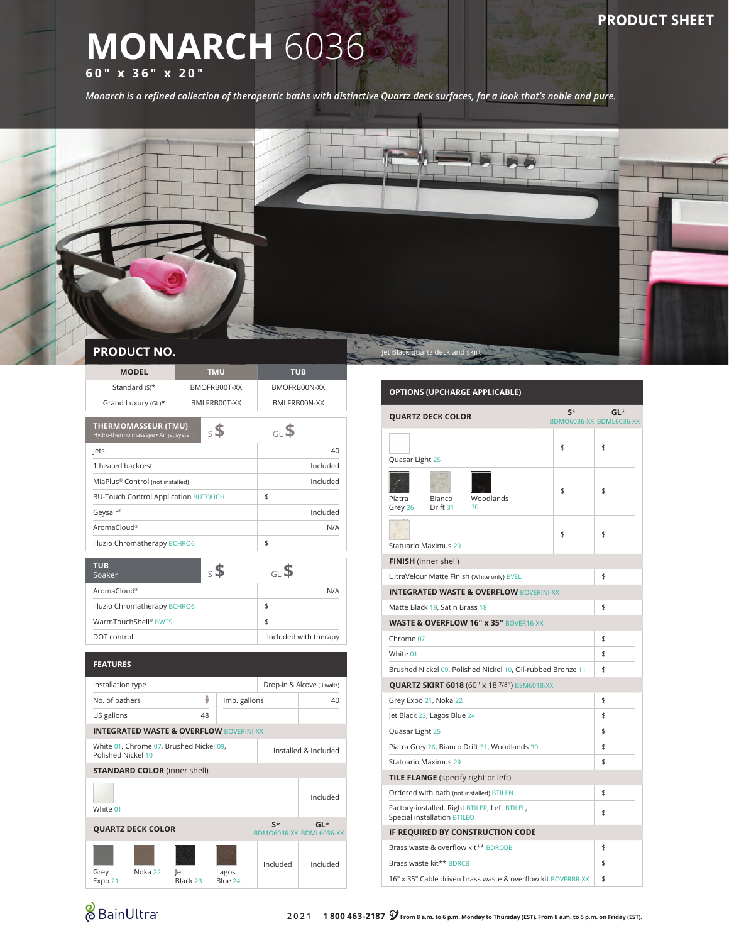# **MONARCH** 6036

**60" x 36" x 20"**

*Monarch is a refined collection of therapeutic baths with distinctive Quartz deck surfaces, for a look that's noble and pure.*



|  | <b>PRODUCT NO.</b> |  |  |  |
|--|--------------------|--|--|--|
|  |                    |  |  |  |

| <b>MODEL</b>                                                           |                               | <b>TMU</b>      |                 |                  | TUB                        |                       |  |  |
|------------------------------------------------------------------------|-------------------------------|-----------------|-----------------|------------------|----------------------------|-----------------------|--|--|
|                                                                        | Standard (S)*<br>BMOFRB00T-XX |                 |                 | BMOFRB00N-XX     |                            |                       |  |  |
| Grand Luxury (GL)*                                                     |                               |                 | BMLFRB00T-XX    |                  | BMLFRB00N-XX               |                       |  |  |
|                                                                        |                               |                 |                 |                  |                            |                       |  |  |
| <b>THERMOMASSEUR (TMU)</b><br>Hydro-thermo massage · Air jet system    |                               |                 | $_{5}$ \$       |                  | GL <sup>\$</sup>           |                       |  |  |
| lets                                                                   |                               |                 |                 |                  |                            | 40                    |  |  |
|                                                                        | 1 heated backrest             |                 |                 |                  | Included                   |                       |  |  |
| MiaPlus® Control (not installed)                                       |                               |                 |                 |                  | Included                   |                       |  |  |
| <b>BU-Touch Control Application BUTOUCH</b>                            |                               |                 |                 |                  | \$                         |                       |  |  |
| Geysair®                                                               |                               |                 |                 |                  | Included                   |                       |  |  |
| AromaCloud®                                                            |                               |                 |                 |                  |                            | N/A                   |  |  |
| Illuzio Chromatherapy BCHRO6                                           |                               |                 |                 |                  | \$                         |                       |  |  |
| <b>TUB</b>                                                             |                               |                 |                 |                  |                            |                       |  |  |
| Soaker                                                                 |                               |                 | $\mathsf{s}$ \$ |                  | GLS                        |                       |  |  |
| AromaCloud®                                                            |                               |                 |                 |                  | N/A                        |                       |  |  |
| Illuzio Chromatherapy BCHRO6                                           |                               |                 |                 |                  | \$                         |                       |  |  |
| WarmTouchShell® BWTS                                                   |                               |                 |                 |                  | \$                         |                       |  |  |
| DOT control                                                            |                               |                 |                 |                  |                            | Included with therapy |  |  |
|                                                                        |                               |                 |                 |                  |                            |                       |  |  |
| <b>FEATURES</b>                                                        |                               |                 |                 |                  |                            |                       |  |  |
| Installation type                                                      |                               |                 |                 |                  | Drop-in & Alcove (3 walls) |                       |  |  |
| No. of bathers                                                         |                               | ů               | Imp. gallons    |                  | 40                         |                       |  |  |
| US gallons                                                             |                               |                 | 48              |                  |                            |                       |  |  |
| <b>INTEGRATED WASTE &amp; OVERFLOW BOVERINI-XX</b>                     |                               |                 |                 |                  |                            |                       |  |  |
| White 01, Chrome 07, Brushed Nickel 09,<br>Polished Nickel 10          |                               |                 |                 |                  |                            | Installed & Included  |  |  |
| <b>STANDARD COLOR</b> (inner shell)                                    |                               |                 |                 |                  |                            |                       |  |  |
| White 01                                                               |                               |                 |                 |                  |                            | Included              |  |  |
| $S^*$<br>$GL^*$<br><b>QUARTZ DECK COLOR</b><br>BDMO6036-XX BDML6036-XX |                               |                 |                 |                  |                            |                       |  |  |
| Grey<br>Expo 21                                                        | Noka 22                       | let<br>Black 23 |                 | Lagos<br>Blue 24 | Included                   | Included              |  |  |

### **OPTIONS (UPCHARGE APPLICABLE)**

|                                                                              | <b>QUARTZ DECK COLOR</b> |                                                    | $S^*$ | $GL^*$<br>BDMO6036-XX BDML6036-XX |  |
|------------------------------------------------------------------------------|--------------------------|----------------------------------------------------|-------|-----------------------------------|--|
| Quasar Light 25                                                              |                          |                                                    | \$    | \$                                |  |
| Piatra<br>Grey 26                                                            | Bianco<br>Drift 31       | Woodlands<br>30                                    | \$    | \$                                |  |
| Statuario Maximus 29                                                         |                          |                                                    | \$    | \$                                |  |
| FINISH (inner shell)                                                         |                          |                                                    |       |                                   |  |
|                                                                              |                          | UltraVelour Matte Finish (White only) BVEL         |       | \$                                |  |
|                                                                              |                          | <b>INTEGRATED WASTE &amp; OVERFLOW BOVERINI-XX</b> |       |                                   |  |
| Matte Black 19, Satin Brass 18                                               | \$                       |                                                    |       |                                   |  |
|                                                                              |                          | <b>WASTE &amp; OVERFLOW 16" x 35" BOVER16-XX</b>   |       |                                   |  |
| Chrome 07                                                                    | \$                       |                                                    |       |                                   |  |
| White 01                                                                     | \$                       |                                                    |       |                                   |  |
| Brushed Nickel 09, Polished Nickel 10, Oil-rubbed Bronze 11                  | \$                       |                                                    |       |                                   |  |
| <b>QUARTZ SKIRT 6018 (60" x 18 7/8") BSM6018-XX</b>                          |                          |                                                    |       |                                   |  |
| Grey Expo 21, Noka 22                                                        | \$                       |                                                    |       |                                   |  |
| Jet Black 23, Lagos Blue 24                                                  | \$                       |                                                    |       |                                   |  |
| Quasar Light 25                                                              | \$                       |                                                    |       |                                   |  |
| Piatra Grey 26, Bianco Drift 31, Woodlands 30                                | \$                       |                                                    |       |                                   |  |
| Statuario Maximus 29                                                         | \$                       |                                                    |       |                                   |  |
| <b>TILE FLANGE</b> (specify right or left)                                   |                          |                                                    |       |                                   |  |
| Ordered with bath (not installed) BTILEN                                     |                          |                                                    |       | \$                                |  |
| Factory-installed. Right BTILER, Left BTILEL,<br>Special installation BTILEO |                          |                                                    |       | \$                                |  |
| IF REQUIRED BY CONSTRUCTION CODE                                             |                          |                                                    |       |                                   |  |
| Brass waste & overflow kit** BDRCOB                                          | \$                       |                                                    |       |                                   |  |
| Brass waste kit** BDRCB                                                      | \$                       |                                                    |       |                                   |  |
| 16" x 35" Cable driven brass waste & overflow kit BOVERBR-XX                 | \$                       |                                                    |       |                                   |  |

## & BainUltra